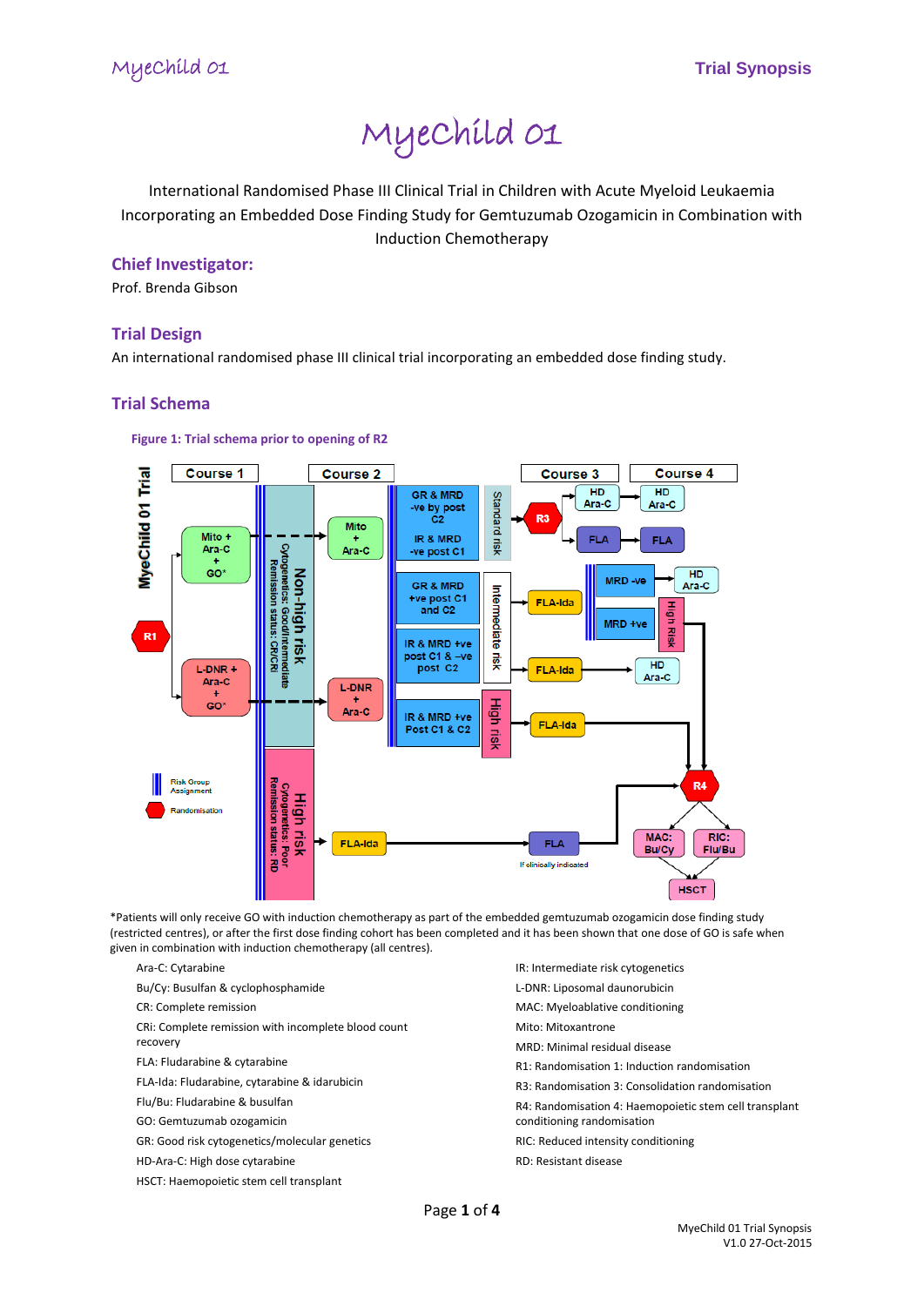# MyeChild 01

International Randomised Phase III Clinical Trial in Children with Acute Myeloid Leukaemia Incorporating an Embedded Dose Finding Study for Gemtuzumab Ozogamicin in Combination with Induction Chemotherapy

# **Chief Investigator:**

Prof. Brenda Gibson

# **Trial Design**

An international randomised phase III clinical trial incorporating an embedded dose finding study.

# **Trial Schema**

#### **Figure 1: Trial schema prior to opening of R2**



\*Patients will only receive GO with induction chemotherapy as part of the embedded gemtuzumab ozogamicin dose finding study (restricted centres), or after the first dose finding cohort has been completed and it has been shown that one dose of GO is safe when given in combination with induction chemotherapy (all centres).

Ara-C: Cytarabine

Bu/Cy: Busulfan & cyclophosphamide

CR: Complete remission

CRi: Complete remission with incomplete blood count

recovery

FLA: Fludarabine & cytarabine

FLA-Ida: Fludarabine, cytarabine & idarubicin

Flu/Bu: Fludarabine & busulfan

GO: Gemtuzumab ozogamicin

GR: Good risk cytogenetics/molecular genetics

- HD-Ara-C: High dose cytarabine
- HSCT: Haemopoietic stem cell transplant
- IR: Intermediate risk cytogenetics L-DNR: Liposomal daunorubicin
- MAC: Myeloablative conditioning
- Mito: Mitoxantrone
- MRD: Minimal residual disease
- R1: Randomisation 1: Induction randomisation
- R3: Randomisation 3: Consolidation randomisation

R4: Randomisation 4: Haemopoietic stem cell transplant conditioning randomisation

RIC: Reduced intensity conditioning

RD: Resistant disease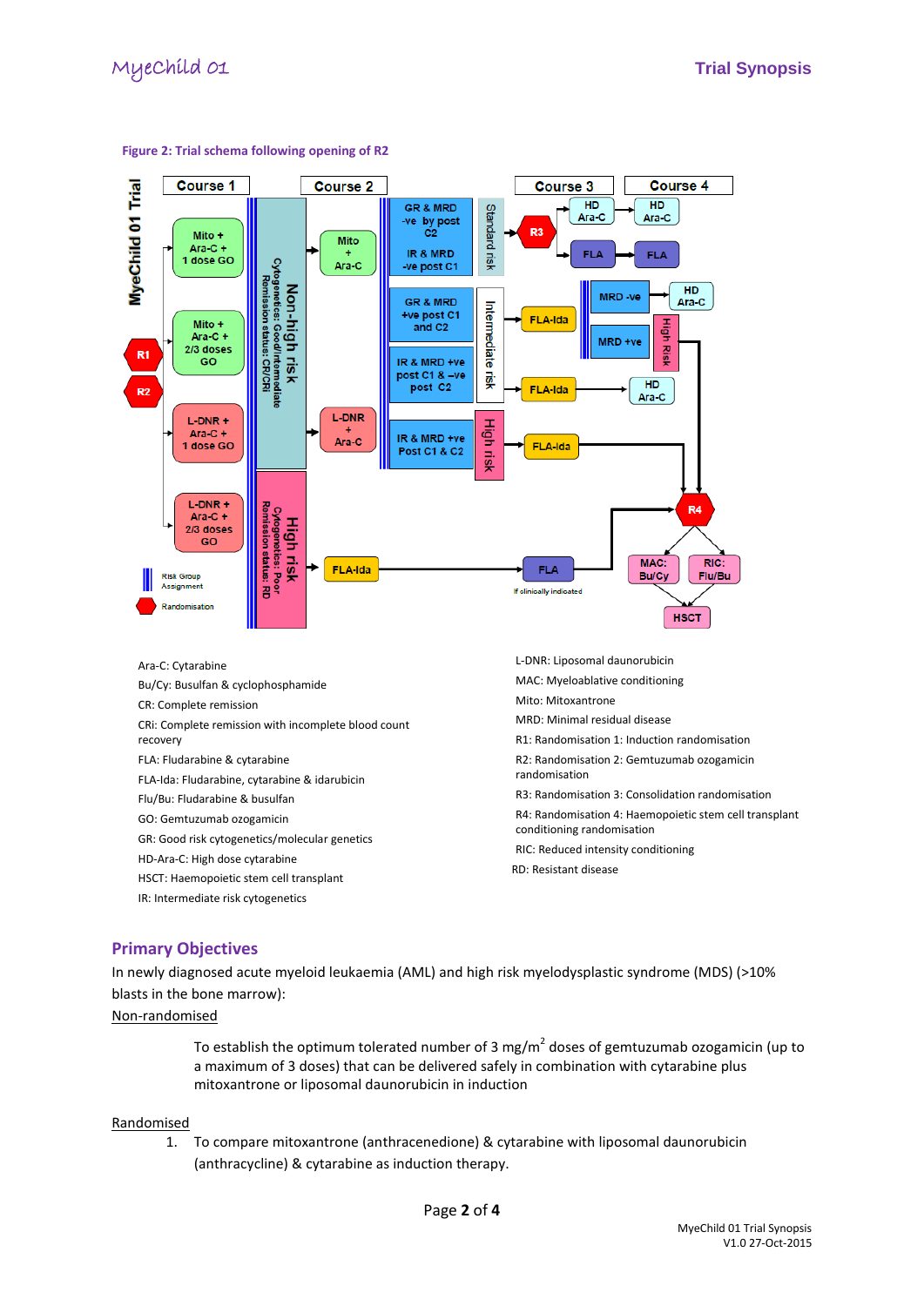

#### **Figure 2: Trial schema following opening of R2**

**Primary Objectives**

IR: Intermediate risk cytogenetics

In newly diagnosed acute myeloid leukaemia (AML) and high risk myelodysplastic syndrome (MDS) (>10% blasts in the bone marrow):

#### Non-randomised

To establish the optimum tolerated number of 3 mg/m<sup>2</sup> doses of gemtuzumab ozogamicin (up to a maximum of 3 doses) that can be delivered safely in combination with cytarabine plus mitoxantrone or liposomal daunorubicin in induction

#### Randomised

1. To compare mitoxantrone (anthracenedione) & cytarabine with liposomal daunorubicin (anthracycline) & cytarabine as induction therapy.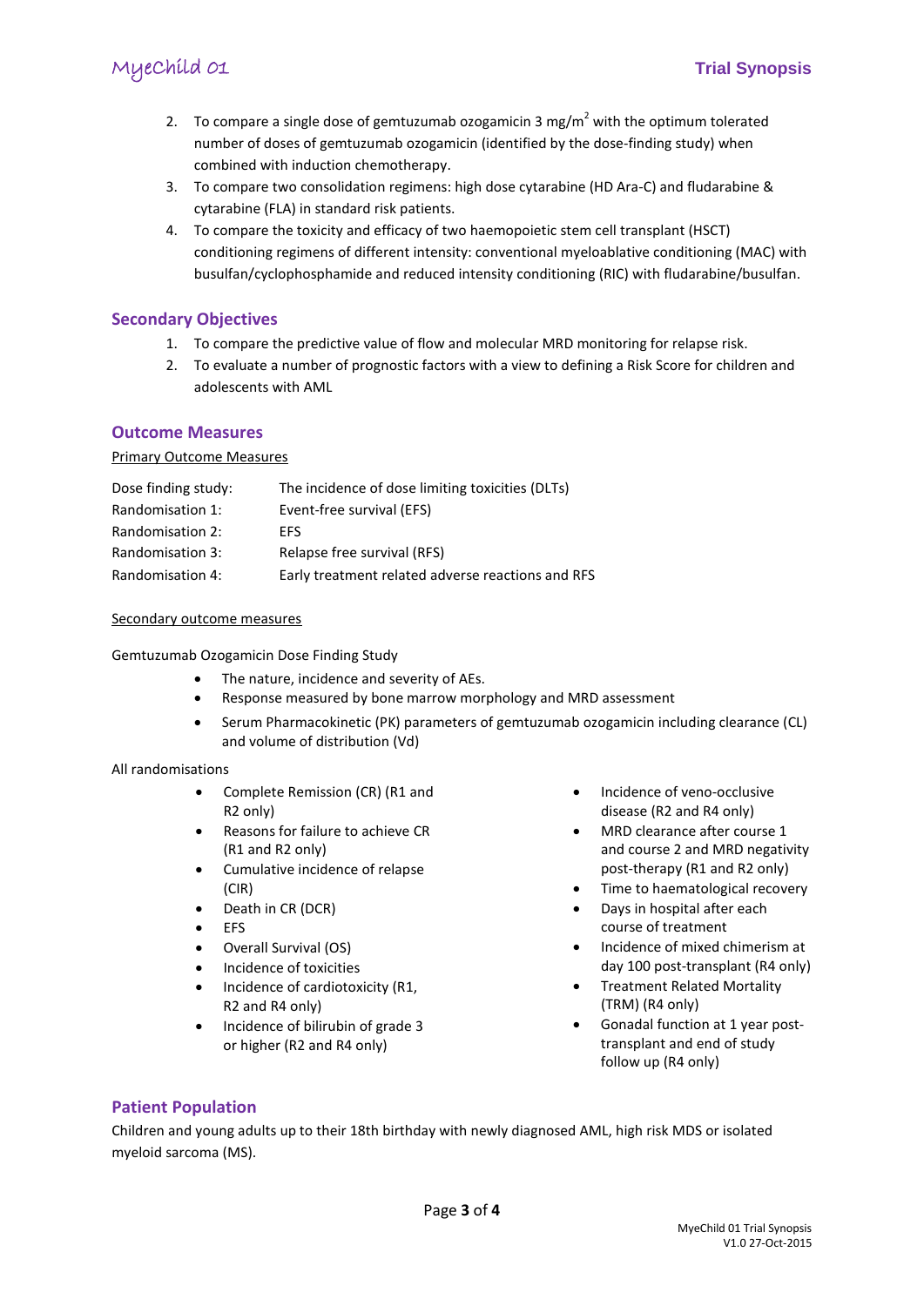# MyeChild 01 **Trial Synopsis**

- 2. To compare a single dose of gemtuzumab ozogamicin 3 mg/m<sup>2</sup> with the optimum tolerated number of doses of gemtuzumab ozogamicin (identified by the dose-finding study) when combined with induction chemotherapy.
- 3. To compare two consolidation regimens: high dose cytarabine (HD Ara-C) and fludarabine & cytarabine (FLA) in standard risk patients.
- 4. To compare the toxicity and efficacy of two haemopoietic stem cell transplant (HSCT) conditioning regimens of different intensity: conventional myeloablative conditioning (MAC) with busulfan/cyclophosphamide and reduced intensity conditioning (RIC) with fludarabine/busulfan.

# **Secondary Objectives**

- 1. To compare the predictive value of flow and molecular MRD monitoring for relapse risk.
- 2. To evaluate a number of prognostic factors with a view to defining a Risk Score for children and adolescents with AML

## **Outcome Measures**

#### Primary Outcome Measures

| Dose finding study: | The incidence of dose limiting toxicities (DLTs)  |
|---------------------|---------------------------------------------------|
| Randomisation 1:    | Event-free survival (EFS)                         |
| Randomisation 2:    | <b>FFS</b>                                        |
| Randomisation 3:    | Relapse free survival (RFS)                       |
| Randomisation 4:    | Early treatment related adverse reactions and RFS |

#### Secondary outcome measures

Gemtuzumab Ozogamicin Dose Finding Study

- The nature, incidence and severity of AEs.
- Response measured by bone marrow morphology and MRD assessment
- Serum Pharmacokinetic (PK) parameters of gemtuzumab ozogamicin including clearance (CL) and volume of distribution (Vd)

#### All randomisations

- Complete Remission (CR) (R1 and R2 only)
- Reasons for failure to achieve CR (R1 and R2 only)
- Cumulative incidence of relapse (CIR)
- Death in CR (DCR)
- EFS
- Overall Survival (OS)
- Incidence of toxicities
- Incidence of cardiotoxicity (R1, R2 and R4 only)
- Incidence of bilirubin of grade 3 or higher (R2 and R4 only)
- Incidence of veno-occlusive disease (R2 and R4 only)
- MRD clearance after course 1 and course 2 and MRD negativity post-therapy (R1 and R2 only)
- Time to haematological recovery
- Days in hospital after each course of treatment
- Incidence of mixed chimerism at day 100 post-transplant (R4 only)
- Treatment Related Mortality (TRM) (R4 only)
- Gonadal function at 1 year posttransplant and end of study follow up (R4 only)

# **Patient Population**

Children and young adults up to their 18th birthday with newly diagnosed AML, high risk MDS or isolated myeloid sarcoma (MS).